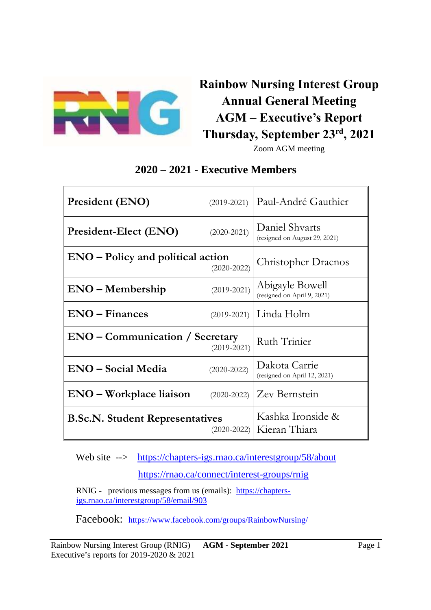

# **Rainbow Nursing Interest Group Annual General Meeting AGM – Executive's Report Thursday, September 23rd, 2021**

Zoom AGM meeting

## **2020 – 2021 - Executive Members**

| <b>President (ENO)</b>                                    | $(2019 - 2021)$            | Paul-André Gauthier                             |
|-----------------------------------------------------------|----------------------------|-------------------------------------------------|
| President-Elect (ENO)                                     | $(2020 - 2021)$            | Daniel Shvarts<br>(resigned on August 29, 2021) |
| $ENO - Policy$ and political action                       | <b>Christopher Draenos</b> |                                                 |
| $ENO-Membership$                                          | $(2019 - 2021)$            | Abigayle Bowell<br>(resigned on April 9, 2021)  |
| $ENO - Finances$                                          | $(2019 - 2021)$            | Linda Holm                                      |
| <b>ENO</b> – Communication / Secretary                    | Ruth Trinier               |                                                 |
| <b>ENO</b> – Social Media                                 | $(2020-2022)$              | Dakota Carrie<br>(resigned on April 12, 2021)   |
| <b>ENO</b> – Workplace liaison                            | $(2020-2022)$              | Zev Bernstein                                   |
| <b>B.Sc.N. Student Representatives</b><br>$(2020 - 2022)$ |                            | Kashka Ironside &<br>Kieran Thiara              |

Web site --> https://chapters-igs.rnao.ca/interestgroup/58/about https://rnao.ca/connect/interest-groups/rnig

RNIG - previous messages from us (emails): https://chaptersigs.rnao.ca/interestgroup/58/email/903

Facebook: https://www.facebook.com/groups/RainbowNursing/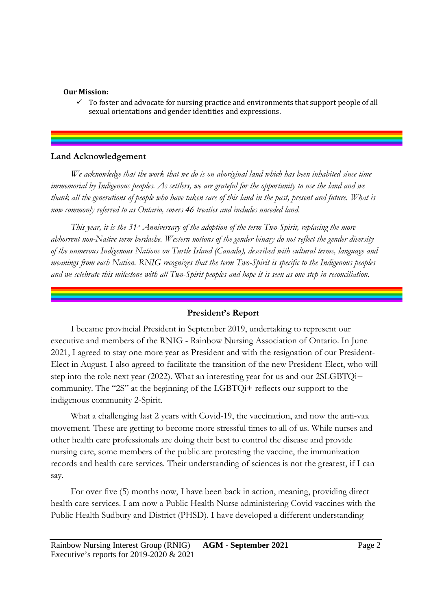#### **Our Mission:**

 $\checkmark$  To foster and advocate for nursing practice and environments that support people of all sexual orientations and gender identities and expressions.

#### **Land Acknowledgement**

*We acknowledge that the work that we do is on aboriginal land which has been inhabited since time immemorial by Indigenous peoples. As settlers, we are grateful for the opportunity to use the land and we thank all the generations of people who have taken care of this land in the past, present and future. What is now commonly referred to as Ontario, covers 46 treaties and includes unceded land.* 

*This year, it is the 31st Anniversary of the adoption of the term Two-Spirit, replacing the more abhorrent non-Native term berdache. Western notions of the gender binary do not reflect the gender diversity of the numerous Indigenous Nations on Turtle Island (Canada), described with cultural terms, language and meanings from each Nation. RNIG recognizes that the term Two-Spirit is specific to the Indigenous peoples and we celebrate this milestone with all Two-Spirit peoples and hope it is seen as one step in reconciliation.* 

#### **President's Report**

I became provincial President in September 2019, undertaking to represent our executive and members of the RNIG - Rainbow Nursing Association of Ontario. In June 2021, I agreed to stay one more year as President and with the resignation of our President-Elect in August. I also agreed to facilitate the transition of the new President-Elect, who will step into the role next year (2022). What an interesting year for us and our 2SLGBTQi+ community. The "2S" at the beginning of the LGBTQi+ reflects our support to the indigenous community 2-Spirit.

What a challenging last 2 years with Covid-19, the vaccination, and now the anti-vax movement. These are getting to become more stressful times to all of us. While nurses and other health care professionals are doing their best to control the disease and provide nursing care, some members of the public are protesting the vaccine, the immunization records and health care services. Their understanding of sciences is not the greatest, if I can say.

For over five (5) months now, I have been back in action, meaning, providing direct health care services. I am now a Public Health Nurse administering Covid vaccines with the Public Health Sudbury and District (PHSD). I have developed a different understanding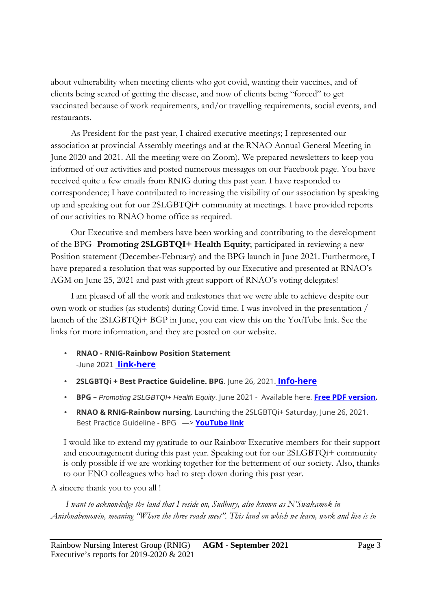about vulnerability when meeting clients who got covid, wanting their vaccines, and of clients being scared of getting the disease, and now of clients being "forced" to get vaccinated because of work requirements, and/or travelling requirements, social events, and restaurants.

As President for the past year, I chaired executive meetings; I represented our association at provincial Assembly meetings and at the RNAO Annual General Meeting in June 2020 and 2021. All the meeting were on Zoom). We prepared newsletters to keep you informed of our activities and posted numerous messages on our Facebook page. You have received quite a few emails from RNIG during this past year. I have responded to correspondence; I have contributed to increasing the visibility of our association by speaking up and speaking out for our 2SLGBTQi+ community at meetings. I have provided reports of our activities to RNAO home office as required.

Our Executive and members have been working and contributing to the development of the BPG- **Promoting 2SLGBTQI+ Health Equity**; participated in reviewing a new Position statement (December-February) and the BPG launch in June 2021. Furthermore, I have prepared a resolution that was supported by our Executive and presented at RNAO's AGM on June 25, 2021 and past with great support of RNAO's voting delegates!

I am pleased of all the work and milestones that we were able to achieve despite our own work or studies (as students) during Covid time. I was involved in the presentation / launch of the 2SLGBTQi+ BGP in June, you can view this on the YouTube link. See the links for more information, and they are posted on our website.

- **RNAO RNIG-Rainbow Position Statement** -June 2021 **link-here**
- **2SLGBTQi + Best Practice Guideline. BPG**. June 26, 2021. **Info-here**
- **BPG** Promoting 2SLGBTQI+ Health Equity. June 2021 Available here. **Free PDF version.**
- **RNAO & RNIG-Rainbow nursing**. Launching the 2SLGBTQi+ Saturday, June 26, 2021. Best Practice Guideline - BPG —> **YouTube link**

I would like to extend my gratitude to our Rainbow Executive members for their support and encouragement during this past year. Speaking out for our 2SLGBTQi+ community is only possible if we are working together for the betterment of our society. Also, thanks to our ENO colleagues who had to step down during this past year.

A sincere thank you to you all !

*I want to acknowledge the land that I reside on, Sudbury, also known as N'Swakamok in Anishnabemowin, meaning "Where the three roads meet". This land on which we learn, work and live is in*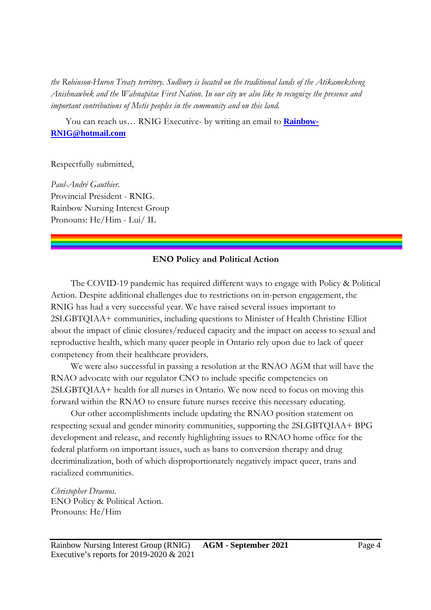*the Robinson-Huron Treaty territory. Sudbury is located on the traditional lands of the Atikameksheng Anishnawbek and the Wahnapitae First Nation. In our city we also like to recognize the presence and important contributions of Metis peoples in the community and on this land.* 

You can reach us… RNIG Executive- by writing an email to **Rainbow-RNIG@hotmail.com** 

Respectfully submitted,

*Paul-André Gauthier*. Provincial President - RNIG. Rainbow Nursing Interest Group Pronouns: He/Him - Lui/ IL

#### **ENO Policy and Political Action**

The COVID-19 pandemic has required different ways to engage with Policy & Political Action. Despite additional challenges due to restrictions on in-person engagement, the RNIG has had a very successful year. We have raised several issues important to 2SLGBTQIAA+ communities, including questions to Minister of Health Christine Elliot about the impact of clinic closures/reduced capacity and the impact on access to sexual and reproductive health, which many queer people in Ontario rely upon due to lack of queer competency from their healthcare providers.

We were also successful in passing a resolution at the RNAO AGM that will have the RNAO advocate with our regulator CNO to include specific competencies on 2SLGBTQIAA+ health for all nurses in Ontario. We now need to focus on moving this forward within the RNAO to ensure future nurses receive this necessary educating.

Our other accomplishments include updating the RNAO position statement on respecting sexual and gender minority communities, supporting the 2SLGBTQIAA+ BPG development and release, and recently highlighting issues to RNAO home office for the federal platform on important issues, such as bans to conversion therapy and drug decriminalization, both of which disproportionately negatively impact queer, trans and racialized communities.

*Christopher Draenos.*  ENO Policy & Political Action. Pronouns: He/Him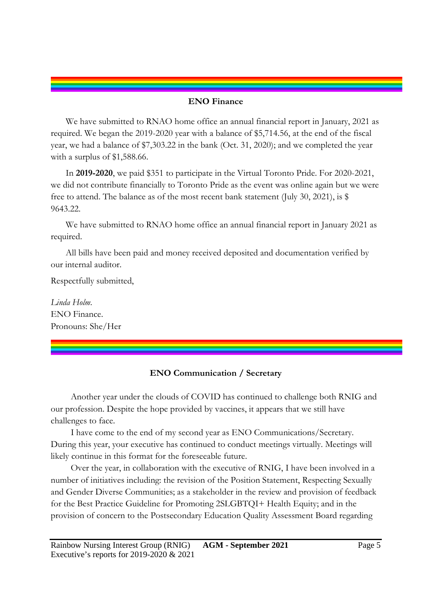#### **ENO Finance**

We have submitted to RNAO home office an annual financial report in January, 2021 as required. We began the 2019-2020 year with a balance of \$5,714.56, at the end of the fiscal year, we had a balance of \$7,303.22 in the bank (Oct. 31, 2020); and we completed the year with a surplus of \$1,588.66.

In **2019-2020**, we paid \$351 to participate in the Virtual Toronto Pride. For 2020-2021, we did not contribute financially to Toronto Pride as the event was online again but we were free to attend. The balance as of the most recent bank statement (July 30, 2021), is  $\$ 9643.22.

We have submitted to RNAO home office an annual financial report in January 2021 as required.

All bills have been paid and money received deposited and documentation verified by our internal auditor.

Respectfully submitted,

*Linda Holm.*  ENO Finance. Pronouns: She/Her

#### **ENO Communication / Secretary**

Another year under the clouds of COVID has continued to challenge both RNIG and our profession. Despite the hope provided by vaccines, it appears that we still have challenges to face.

I have come to the end of my second year as ENO Communications/Secretary. During this year, your executive has continued to conduct meetings virtually. Meetings will likely continue in this format for the foreseeable future.

Over the year, in collaboration with the executive of RNIG, I have been involved in a number of initiatives including: the revision of the Position Statement, Respecting Sexually and Gender Diverse Communities; as a stakeholder in the review and provision of feedback for the Best Practice Guideline for Promoting 2SLGBTQI+ Health Equity; and in the provision of concern to the Postsecondary Education Quality Assessment Board regarding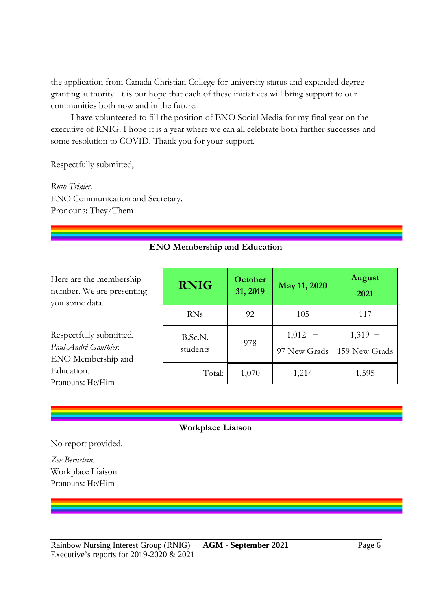the application from Canada Christian College for university status and expanded degreegranting authority. It is our hope that each of these initiatives will bring support to our communities both now and in the future.

I have volunteered to fill the position of ENO Social Media for my final year on the executive of RNIG. I hope it is a year where we can all celebrate both further successes and some resolution to COVID. Thank you for your support.

Respectfully submitted,

*Ruth Trinier.*  ENO Communication and Secretary. Pronouns: They/Them

#### **ENO Membership and Education**

Here are the membership number. We are presenting you some data.

Respectfully submitted, *Paul-André Gauthier.*  ENO Membership and Education. Pronouns: He/Him

| <b>RNIG</b>         | <b>October</b><br>May 11, 2020<br>31, 2019 |                           | <b>August</b><br>2021      |
|---------------------|--------------------------------------------|---------------------------|----------------------------|
| <b>RNs</b>          | 92                                         | 105                       | 117                        |
| B.Sc.N.<br>students | 978                                        | $1,012 +$<br>97 New Grads | $1,319 +$<br>159 New Grads |
| Total:              | 1,070                                      | 1,214                     | 1,595                      |

#### **Workplace Liaison**

No report provided.

*Zev Bernstein.*  Workplace Liaison Pronouns: He/Him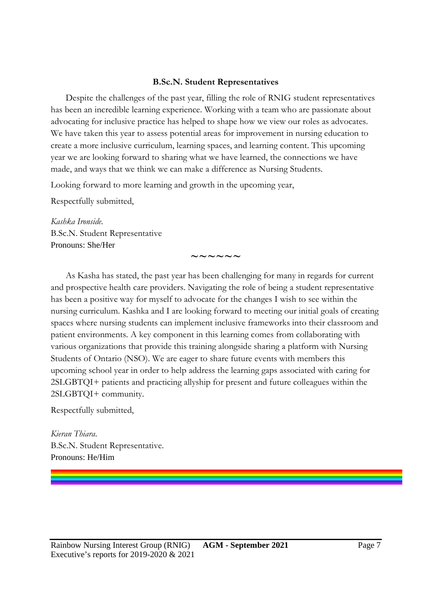#### **B.Sc.N. Student Representatives**

Despite the challenges of the past year, filling the role of RNIG student representatives has been an incredible learning experience. Working with a team who are passionate about advocating for inclusive practice has helped to shape how we view our roles as advocates. We have taken this year to assess potential areas for improvement in nursing education to create a more inclusive curriculum, learning spaces, and learning content. This upcoming year we are looking forward to sharing what we have learned, the connections we have made, and ways that we think we can make a difference as Nursing Students.

Looking forward to more learning and growth in the upcoming year,

Respectfully submitted,

*Kashka Ironside.*  B.Sc.N. Student Representative Pronouns: She/Her

As Kasha has stated, the past year has been challenging for many in regards for current and prospective health care providers. Navigating the role of being a student representative has been a positive way for myself to advocate for the changes I wish to see within the nursing curriculum. Kashka and I are looking forward to meeting our initial goals of creating spaces where nursing students can implement inclusive frameworks into their classroom and patient environments. A key component in this learning comes from collaborating with various organizations that provide this training alongside sharing a platform with Nursing Students of Ontario (NSO). We are eager to share future events with members this upcoming school year in order to help address the learning gaps associated with caring for 2SLGBTQI+ patients and practicing allyship for present and future colleagues within the 2SLGBTQI+ community.

**~~~~~~** 

Respectfully submitted,

*Kieran Thiara*. B.Sc.N. Student Representative. Pronouns: He/Him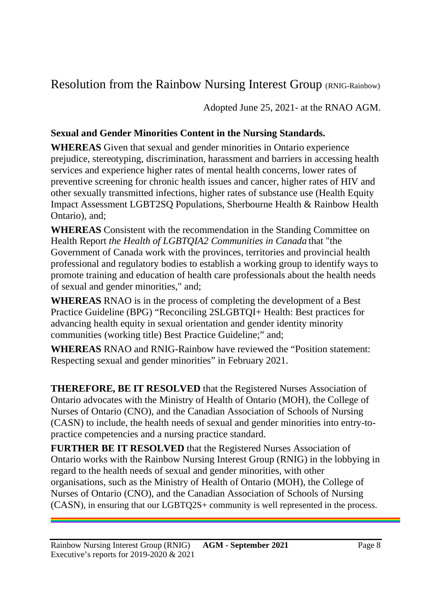## Resolution from the Rainbow Nursing Interest Group (RNIG-Rainbow)

Adopted June 25, 2021- at the RNAO AGM.

### **Sexual and Gender Minorities Content in the Nursing Standards.**

**WHEREAS** Given that sexual and gender minorities in Ontario experience prejudice, stereotyping, discrimination, harassment and barriers in accessing health services and experience higher rates of mental health concerns, lower rates of preventive screening for chronic health issues and cancer, higher rates of HIV and other sexually transmitted infections, higher rates of substance use (Health Equity Impact Assessment LGBT2SQ Populations, Sherbourne Health & Rainbow Health Ontario), and;

**WHEREAS** Consistent with the recommendation in the Standing Committee on Health Report *the Health of LGBTQIA2 Communities in Canada* that "the Government of Canada work with the provinces, territories and provincial health professional and regulatory bodies to establish a working group to identify ways to promote training and education of health care professionals about the health needs of sexual and gender minorities," and;

**WHEREAS** RNAO is in the process of completing the development of a Best Practice Guideline (BPG) "Reconciling 2SLGBTQI+ Health: Best practices for advancing health equity in sexual orientation and gender identity minority communities (working title) Best Practice Guideline;" and;

**WHEREAS** RNAO and RNIG-Rainbow have reviewed the "Position statement: Respecting sexual and gender minorities" in February 2021.

**THEREFORE, BE IT RESOLVED** that the Registered Nurses Association of Ontario advocates with the Ministry of Health of Ontario (MOH), the College of Nurses of Ontario (CNO), and the Canadian Association of Schools of Nursing (CASN) to include, the health needs of sexual and gender minorities into entry-topractice competencies and a nursing practice standard.

**FURTHER BE IT RESOLVED** that the Registered Nurses Association of Ontario works with the Rainbow Nursing Interest Group (RNIG) in the lobbying in regard to the health needs of sexual and gender minorities, with other organisations, such as the Ministry of Health of Ontario (MOH), the College of Nurses of Ontario (CNO), and the Canadian Association of Schools of Nursing (CASN), in ensuring that our LGBTQ2S+ community is well represented in the process.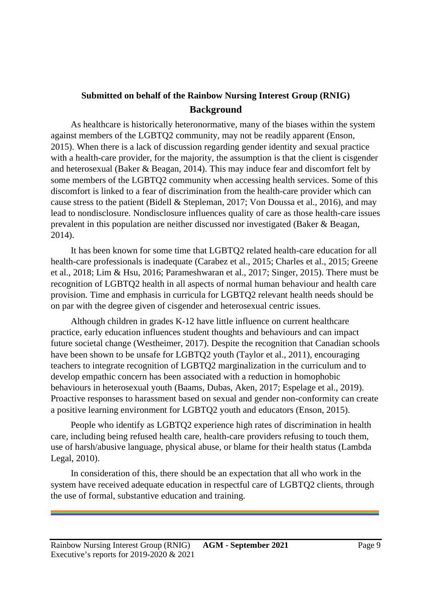#### **Submitted on behalf of the Rainbow Nursing Interest Group (RNIG) Background**

As healthcare is historically heteronormative, many of the biases within the system against members of the LGBTQ2 community, may not be readily apparent (Enson, 2015). When there is a lack of discussion regarding gender identity and sexual practice with a health-care provider, for the majority, the assumption is that the client is cisgender and heterosexual (Baker & Beagan, 2014). This may induce fear and discomfort felt by some members of the LGBTQ2 community when accessing health services. Some of this discomfort is linked to a fear of discrimination from the health-care provider which can cause stress to the patient (Bidell & Stepleman, 2017; Von Doussa et al., 2016), and may lead to nondisclosure. Nondisclosure influences quality of care as those health-care issues prevalent in this population are neither discussed nor investigated (Baker & Beagan, 2014).

It has been known for some time that LGBTQ2 related health-care education for all health-care professionals is inadequate (Carabez et al., 2015; Charles et al., 2015; Greene et al., 2018; Lim & Hsu, 2016; Parameshwaran et al., 2017; Singer, 2015). There must be recognition of LGBTQ2 health in all aspects of normal human behaviour and health care provision. Time and emphasis in curricula for LGBTQ2 relevant health needs should be on par with the degree given of cisgender and heterosexual centric issues.

Although children in grades K-12 have little influence on current healthcare practice, early education influences student thoughts and behaviours and can impact future societal change (Westheimer, 2017). Despite the recognition that Canadian schools have been shown to be unsafe for LGBTQ2 youth (Taylor et al., 2011), encouraging teachers to integrate recognition of LGBTQ2 marginalization in the curriculum and to develop empathic concern has been associated with a reduction in homophobic behaviours in heterosexual youth (Baams, Dubas, Aken, 2017; Espelage et al., 2019). Proactive responses to harassment based on sexual and gender non-conformity can create a positive learning environment for LGBTQ2 youth and educators (Enson, 2015).

People who identify as LGBTQ2 experience high rates of discrimination in health care, including being refused health care, health-care providers refusing to touch them, use of harsh/abusive language, physical abuse, or blame for their health status (Lambda Legal, 2010).

In consideration of this, there should be an expectation that all who work in the system have received adequate education in respectful care of LGBTQ2 clients, through the use of formal, substantive education and training.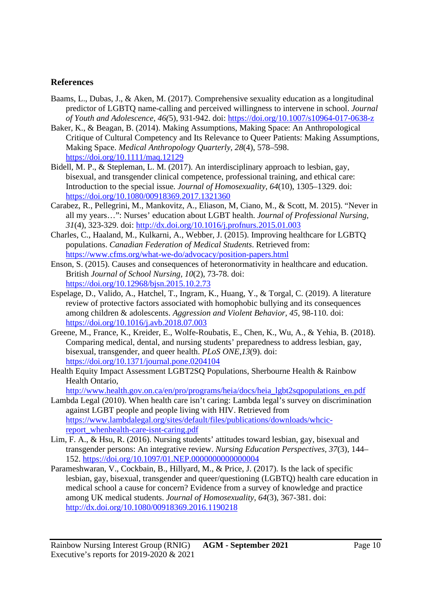#### **References**

- Baams, L., Dubas, J., & Aken, M. (2017). Comprehensive sexuality education as a longitudinal predictor of LGBTQ name-calling and perceived willingness to intervene in school. *Journal of Youth and Adolescence, 46(*5), 931-942. doi: https://doi.org/10.1007/s10964-017-0638-z
- Baker, K., & Beagan, B. (2014). Making Assumptions, Making Space: An Anthropological Critique of Cultural Competency and Its Relevance to Queer Patients: Making Assumptions, Making Space. *Medical Anthropology Quarterly, 28*(4), 578–598. https://doi.org/10.1111/maq.12129
- Bidell, M. P., & Stepleman, L. M. (2017). An interdisciplinary approach to lesbian, gay, bisexual, and transgender clinical competence, professional training, and ethical care: Introduction to the special issue. *Journal of Homosexuality, 64*(10), 1305–1329. doi: https://doi.org/10.1080/00918369.2017.1321360
- Carabez, R., Pellegrini, M., Mankovitz, A., Eliason, M, Ciano, M., & Scott, M. 2015). "Never in all my years…": Nurses' education about LGBT health. *Journal of Professional Nursing, 31*(4), 323-329. doi: http://dx.doi.org/10.1016/j.profnurs.2015.01.003
- Charles, C., Haaland, M., Kulkarni, A., Webber, J. (2015). Improving healthcare for LGBTQ populations. *Canadian Federation of Medical Students*. Retrieved from: https://www.cfms.org/what-we-do/advocacy/position-papers.html
- Enson, S. (2015). Causes and consequences of heteronormativity in healthcare and education. British *Journal of School Nursing, 10*(2), 73-78. doi: https://doi.org/10.12968/bjsn.2015.10.2.73
- Espelage, D., Valido, A., Hatchel, T., Ingram, K., Huang, Y., & Torgal, C. (2019). A literature review of protective factors associated with homophobic bullying and its consequences among children & adolescents. *Aggression and Violent Behavior, 45*, 98-110. doi: https://doi.org/10.1016/j.avb.2018.07.003
- Greene, M., France, K., Kreider, E., Wolfe-Roubatis, E., Chen, K., Wu, A., & Yehia, B. (2018). Comparing medical, dental, and nursing students' preparedness to address lesbian, gay, bisexual, transgender, and queer health. *PLoS ONE,13*(9). doi: https://doi.org/10.1371/journal.pone.0204104
- Health Equity Impact Assessment LGBT2SQ Populations, Sherbourne Health & Rainbow Health Ontario,

http://www.health.gov.on.ca/en/pro/programs/heia/docs/heia\_lgbt2sqpopulations\_en.pdf

- Lambda Legal (2010). When health care isn't caring: Lambda legal's survey on discrimination against LGBT people and people living with HIV. Retrieved from https://www.lambdalegal.org/sites/default/files/publications/downloads/whcicreport\_whenhealth-care-isnt-caring.pdf
- Lim, F. A., & Hsu, R. (2016). Nursing students' attitudes toward lesbian, gay, bisexual and transgender persons: An integrative review. *Nursing Education Perspectives, 37*(3), 144– 152. https://doi.org/10.1097/01.NEP.0000000000000004
- Parameshwaran, V., Cockbain, B., Hillyard, M., & Price, J. (2017). Is the lack of specific lesbian, gay, bisexual, transgender and queer/questioning (LGBTQ) health care education in medical school a cause for concern? Evidence from a survey of knowledge and practice among UK medical students. *Journal of Homosexuality, 64*(3), 367-381. doi: http://dx.doi.org/10.1080/00918369.2016.1190218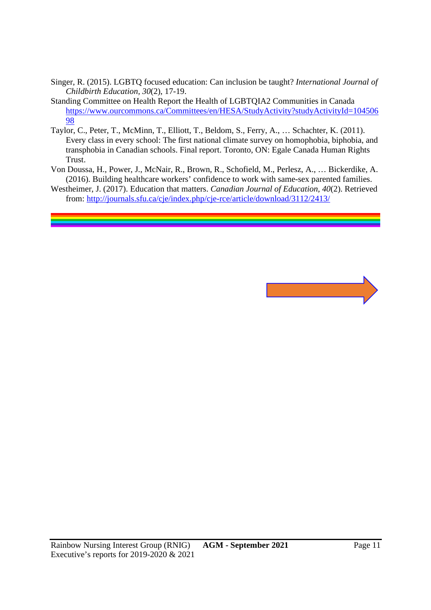- Singer, R. (2015). LGBTQ focused education: Can inclusion be taught? *International Journal of Childbirth Education, 30*(2), 17-19.
- Standing Committee on Health Report the Health of LGBTQIA2 Communities in Canada https://www.ourcommons.ca/Committees/en/HESA/StudyActivity?studyActivityId=104506 98
- Taylor, C., Peter, T., McMinn, T., Elliott, T., Beldom, S., Ferry, A., … Schachter, K. (2011). Every class in every school: The first national climate survey on homophobia, biphobia, and transphobia in Canadian schools. Final report. Toronto, ON: Egale Canada Human Rights Trust.
- Von Doussa, H., Power, J., McNair, R., Brown, R., Schofield, M., Perlesz, A., … Bickerdike, A. (2016). Building healthcare workers' confidence to work with same-sex parented families.
- Westheimer, J. (2017). Education that matters. *Canadian Journal of Education, 40*(2). Retrieved from: http://journals.sfu.ca/cje/index.php/cje-rce/article/download/3112/2413/

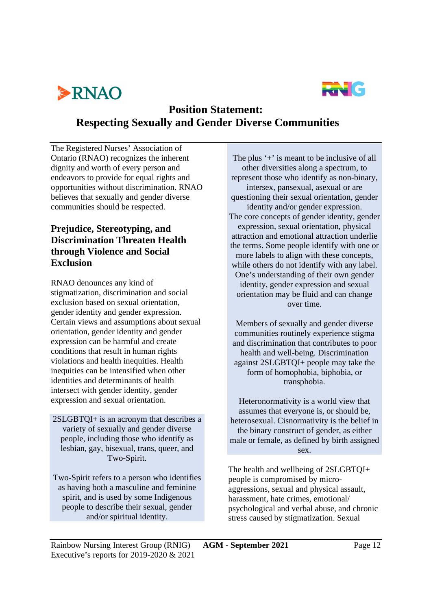



## **Position Statement: Respecting Sexually and Gender Diverse Communities**

The Registered Nurses' Association of Ontario (RNAO) recognizes the inherent dignity and worth of every person and endeavors to provide for equal rights and opportunities without discrimination. RNAO believes that sexually and gender diverse communities should be respected.

#### **Prejudice, Stereotyping, and Discrimination Threaten Health through Violence and Social Exclusion**

RNAO denounces any kind of stigmatization, discrimination and social exclusion based on sexual orientation, gender identity and gender expression. Certain views and assumptions about sexual orientation, gender identity and gender expression can be harmful and create conditions that result in human rights violations and health inequities. Health inequities can be intensified when other identities and determinants of health intersect with gender identity, gender expression and sexual orientation.

2SLGBTQI+ is an acronym that describes a variety of sexually and gender diverse people, including those who identify as lesbian, gay, bisexual, trans, queer, and Two-Spirit.

Two-Spirit refers to a person who identifies as having both a masculine and feminine spirit, and is used by some Indigenous people to describe their sexual, gender and/or spiritual identity.

The plus '+' is meant to be inclusive of all other diversities along a spectrum, to represent those who identify as non-binary, intersex, pansexual, asexual or are questioning their sexual orientation, gender identity and/or gender expression. The core concepts of gender identity, gender expression, sexual orientation, physical attraction and emotional attraction underlie the terms. Some people identify with one or more labels to align with these concepts, while others do not identify with any label. One's understanding of their own gender identity, gender expression and sexual orientation may be fluid and can change over time.

Members of sexually and gender diverse communities routinely experience stigma and discrimination that contributes to poor health and well-being. Discrimination against 2SLGBTQI+ people may take the form of homophobia, biphobia, or transphobia.

Heteronormativity is a world view that assumes that everyone is, or should be, heterosexual. Cisnormativity is the belief in the binary construct of gender, as either male or female, as defined by birth assigned sex.

The health and wellbeing of 2SLGBTQI+ people is compromised by microaggressions, sexual and physical assault, harassment, hate crimes, emotional/ psychological and verbal abuse, and chronic stress caused by stigmatization. Sexual

Rainbow Nursing Interest Group (RNIG) **AGM - September 2021** Page 12 Executive's reports for 2019-2020 & 2021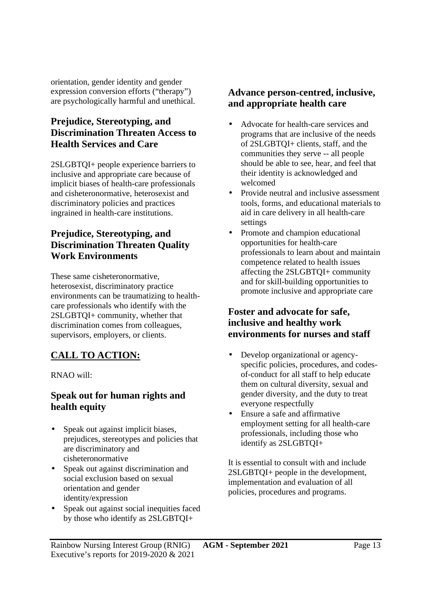orientation, gender identity and gender expression conversion efforts ("therapy") are psychologically harmful and unethical.

#### **Prejudice, Stereotyping, and Discrimination Threaten Access to Health Services and Care**

2SLGBTQI+ people experience barriers to inclusive and appropriate care because of implicit biases of health-care professionals and cisheteronormative, heterosexist and discriminatory policies and practices ingrained in health-care institutions.

#### **Prejudice, Stereotyping, and Discrimination Threaten Quality Work Environments**

These same cisheteronormative, heterosexist, discriminatory practice environments can be traumatizing to healthcare professionals who identify with the 2SLGBTQI+ community, whether that discrimination comes from colleagues, supervisors, employers, or clients.

## **CALL TO ACTION:**

RNAO will:

#### **Speak out for human rights and health equity**

- Speak out against implicit biases, prejudices, stereotypes and policies that are discriminatory and cisheteronormative
- Speak out against discrimination and social exclusion based on sexual orientation and gender identity/expression
- Speak out against social inequities faced by those who identify as 2SLGBTQI+

#### **Advance person-centred, inclusive, and appropriate health care**

- Advocate for health-care services and programs that are inclusive of the needs of 2SLGBTQI+ clients, staff, and the communities they serve -- all people should be able to see, hear, and feel that their identity is acknowledged and welcomed
- Provide neutral and inclusive assessment tools, forms, and educational materials to aid in care delivery in all health-care settings
- Promote and champion educational opportunities for health-care professionals to learn about and maintain competence related to health issues affecting the 2SLGBTQI+ community and for skill-building opportunities to promote inclusive and appropriate care

#### **Foster and advocate for safe, inclusive and healthy work environments for nurses and staff**

- Develop organizational or agencyspecific policies, procedures, and codesof-conduct for all staff to help educate them on cultural diversity, sexual and gender diversity, and the duty to treat everyone respectfully
- Ensure a safe and affirmative employment setting for all health-care professionals, including those who identify as 2SLGBTQI+

It is essential to consult with and include 2SLGBTQI+ people in the development, implementation and evaluation of all policies, procedures and programs.

Rainbow Nursing Interest Group (RNIG) **AGM - September 2021** Page 13 Executive's reports for 2019-2020 & 2021